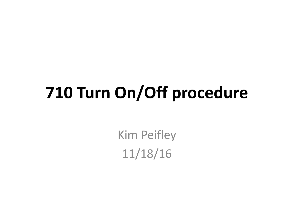## **710 Turn On/Off procedure**

Kim Peifley 11/18/16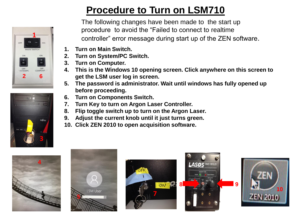



## **Procedure to Turn on LSM710**

The following changes have been made to the start up procedure to avoid the "Failed to connect to realtime controller" error message during start up of the ZEN software.

- **1. Turn on Main Switch.**
- **2. Turn on System/PC Switch.**
- **3. Turn on Computer.**
- **4. This is the Windows 10 opening screen. Click anywhere on this screen to get the LSM user log in screen.**
- **5. The password is administrator. Wait until windows has fully opened up before proceeding.**
- **6. Turn on Components Switch.**
- **7. Turn Key to turn on Argon Laser Controller.**
- **8. Flip toggle switch up to turn on the Argon Laser.**
- **9. Adjust the current knob until it just turns green.**
- **10. Click ZEN 2010 to open acquisition software.**